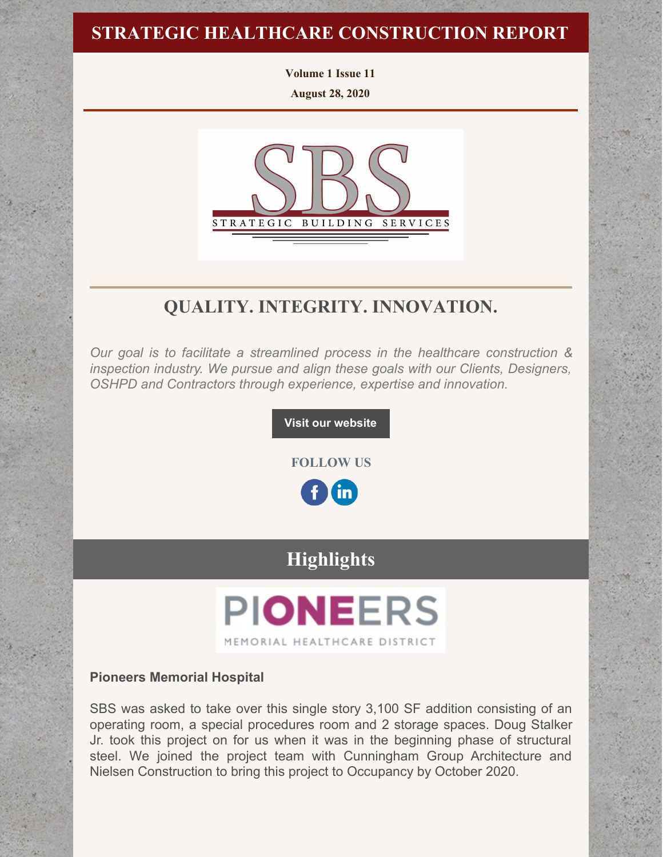### **STRATEGIC HEALTHCARE CONSTRUCTION REPORT**

**Volume 1 Issue 11 August 28, 2020**



### **QUALITY. INTEGRITY. INNOVATION.**

*Our goal is to facilitate a streamlined process in the healthcare construction & inspection industry. We pursue and align these goals with our Clients, Designers, OSHPD and Contractors through experience, expertise and innovation.*

**Visit our [website](http://www.strategic-building.com/)**

**FOLLOW US**

 $\mathbf{in}$ 

## **Highlights**

# **PIONEERS** MEMORIAL HEALTHCARE DISTRICT

#### **Pioneers Memorial Hospital**

SBS was asked to take over this single story 3,100 SF addition consisting of an operating room, a special procedures room and 2 storage spaces. Doug Stalker Jr. took this project on for us when it was in the beginning phase of structural steel. We joined the project team with Cunningham Group Architecture and Nielsen Construction to bring this project to Occupancy by October 2020.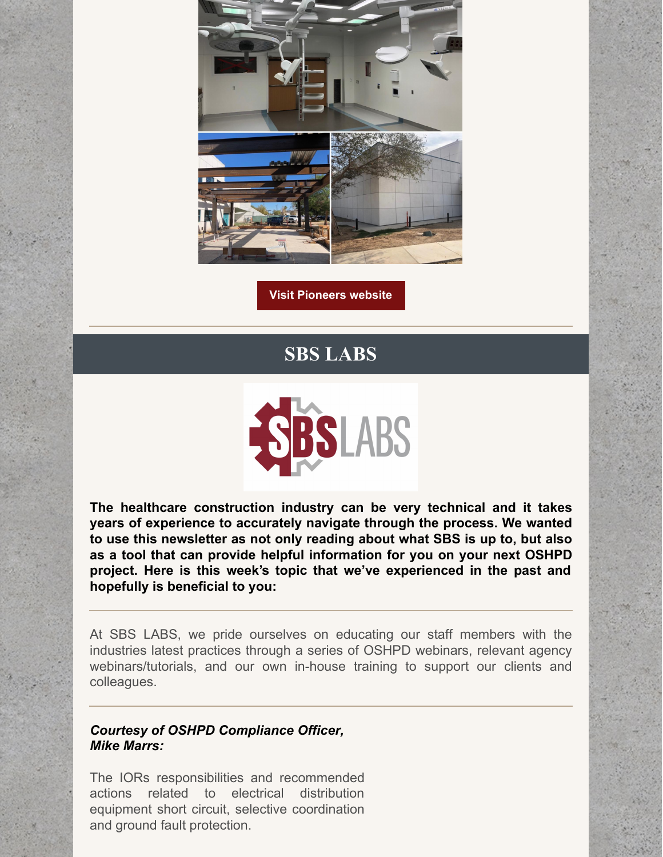

**Visit [Pioneers](https://pmhd.org/) website**

# **SBS LABS**



**The healthcare construction industry can be very technical and it takes years of experience to accurately navigate through the process. We wanted to use this newsletter as not only reading about what SBS is up to, but also as a tool that can provide helpful information for you on your next OSHPD project. Here is this week's topic that we've experienced in the past and hopefully is beneficial to you:**

At SBS LABS, we pride ourselves on educating our staff members with the industries latest practices through a series of OSHPD webinars, relevant agency webinars/tutorials, and our own in-house training to support our clients and colleagues.

### *Courtesy of OSHPD Compliance Officer, Mike Marrs:*

The IORs responsibilities and recommended actions related to electrical distribution equipment short circuit, selective coordination and ground fault protection.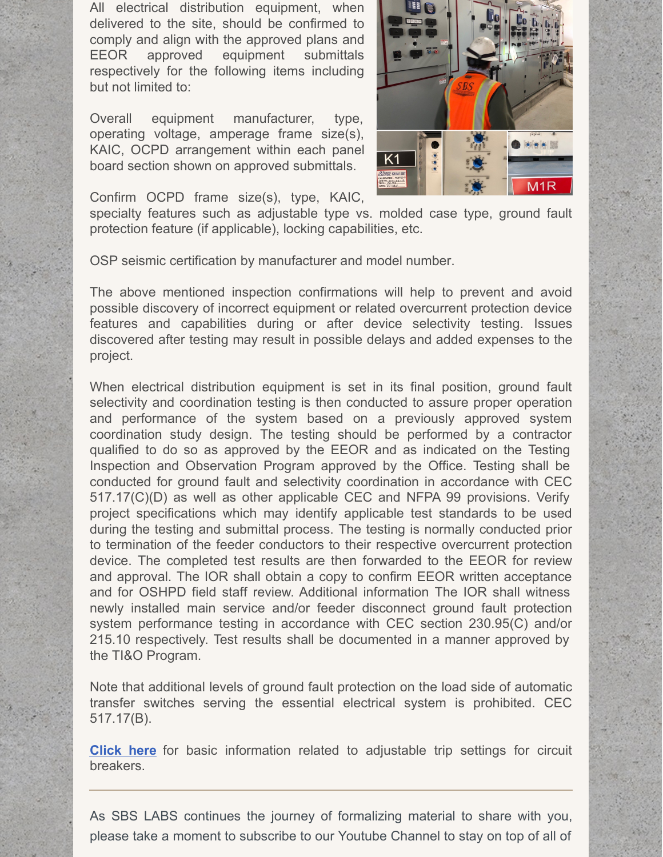All electrical distribution equipment, when delivered to the site, should be confirmed to comply and align with the approved plans and EEOR approved equipment submittals respectively for the following items including but not limited to:

Overall equipment manufacturer, type, operating voltage, amperage frame size(s), KAIC, OCPD arrangement within each panel board section shown on approved submittals.



Confirm OCPD frame size(s), type, KAIC,

specialty features such as adjustable type vs. molded case type, ground fault protection feature (if applicable), locking capabilities, etc.

OSP seismic certification by manufacturer and model number.

The above mentioned inspection confirmations will help to prevent and avoid possible discovery of incorrect equipment or related overcurrent protection device features and capabilities during or after device selectivity testing. Issues discovered after testing may result in possible delays and added expenses to the project.

When electrical distribution equipment is set in its final position, ground fault selectivity and coordination testing is then conducted to assure proper operation and performance of the system based on a previously approved system coordination study design. The testing should be performed by a contractor qualified to do so as approved by the EEOR and as indicated on the Testing Inspection and Observation Program approved by the Office. Testing shall be conducted for ground fault and selectivity coordination in accordance with CEC 517.17(C)(D) as well as other applicable CEC and NFPA 99 provisions. Verify project specifications which may identify applicable test standards to be used during the testing and submittal process. The testing is normally conducted prior to termination of the feeder conductors to their respective overcurrent protection device. The completed test results are then forwarded to the EEOR for review and approval. The IOR shall obtain a copy to confirm EEOR written acceptance and for OSHPD field staff review. Additional information The IOR shall witness newly installed main service and/or feeder disconnect ground fault protection system performance testing in accordance with CEC section 230.95(C) and/or 215.10 respectively. Test results shall be documented in a manner approved by the TI&O Program.

Note that additional levels of ground fault protection on the load side of automatic transfer switches serving the essential electrical system is prohibited. CEC 517.17(B).

**[Click](http://electrical-engineering-portal.com/6-adjustable-tripping-settings-circuit-breaker) her[e](http://electrical-engineering-portal.com/6-adjustable-tripping-settings-circuit-breaker)** for basic information related to adjustable trip settings for circuit breakers.

As SBS LABS continues the journey of formalizing material to share with you, please take a moment to subscribe to our Youtube Channel to stay on top of all of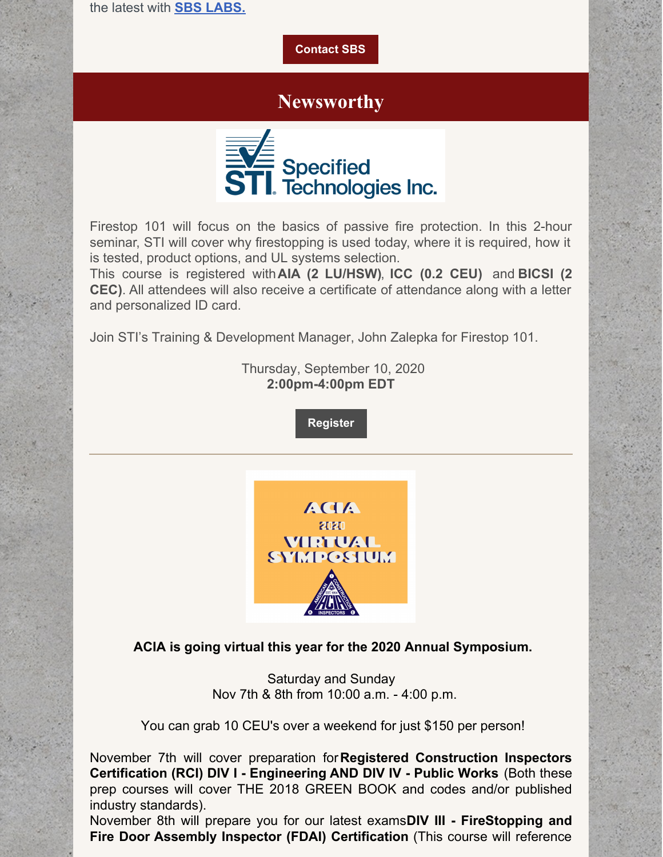the latest with **SBS [LABS.](https://www.youtube.com/channel/UCfR7qiqf9X9tzNf1jD-an_Q)**

#### **[Contact](http://www.strategic-building.com/contacts) SBS**

### **Newsworthy**



Firestop 101 will focus on the basics of passive fire protection. In this 2-hour seminar, STI will cover why firestopping is used today, where it is required, how it is tested, product options, and UL systems selection.

This course is registered with**AIA (2 LU/HSW)**, **ICC (0.2 CEU)** and **BICSI (2 CEC)**. All attendees will also receive a certificate of attendance along with a letter and personalized ID card.

Join STI's Training & Development Manager, John Zalepka for Firestop 101.

Thursday, September 10, 2020 **2:00pm-4:00pm EDT**

**[Register](https://stifirestop.zoom.us/webinar/register/WN_1hj2lnOvRzesmPSVwFrerA?mc_cid=9582455a0a&mc_eid=e432ccbfe6)**



### **ACIA is going virtual this year for the 2020 Annual Symposium.**

Saturday and Sunday Nov 7th & 8th from 10:00 a.m. - 4:00 p.m.

You can grab 10 CEU's over a weekend for just \$150 per person!

November 7th will cover preparation for**Registered Construction Inspectors Certification (RCI) DIV I - Engineering AND DIV IV - Public Works** (Both these prep courses will cover THE 2018 GREEN BOOK and codes and/or published industry standards).

November 8th will prepare you for our latest exams**DIV III - FireStopping and Fire Door Assembly Inspector (FDAI) Certification** (This course will reference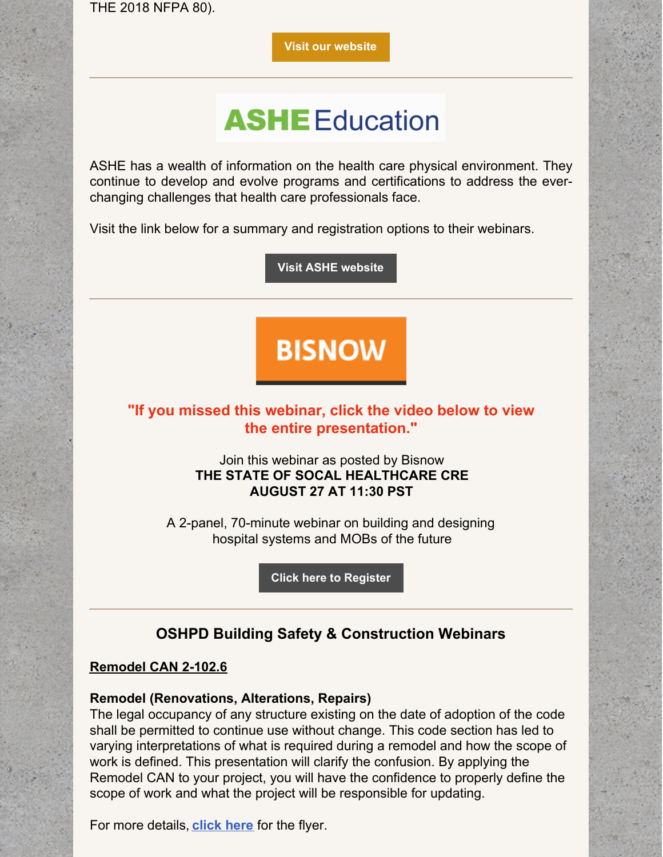THE 2018 NFPA 80).

**Visit our [website](https://www.acia.com/events-1/acia-virtual-symposium?mc_cid=9c8c6b0f44&mc_eid=a745ecf950)**

# **ASHE** Education

ASHE has a wealth of information on the health care physical environment. They continue to develop and evolve programs and certifications to address the everchanging challenges that health care professionals face.

Visit the link below for a summary and registration options to their webinars.

**Visit ASHE [website](https://www.ashe.org/education/webinars-1)**

# **BISNOW**

### **"If you missed this webinar, click the video below to view the entire presentation."**

Join this webinar as posted by Bisnow **THE STATE OF SOCAL HEALTHCARE CRE AUGUST 27 AT 11:30 PST**

A 2-panel, 70-minute webinar on building and designing hospital systems and MOBs of the future

**Click here to [Register](https://www.bisnow.com/webinar/los-angeles/the-state-of-socal-healthcare-cre-5747?modal=login)**

### **OSHPD Building Safety & Construction Webinars**

### **Remodel CAN 2-102.6**

### **Remodel (Renovations, Alterations, Repairs)**

The legal occupancy of any structure existing on the date of adoption of the code shall be permitted to continue use without change. This code section has led to varying interpretations of what is required during a remodel and how the scope of work is defined. This presentation will clarify the confusion. By applying the Remodel CAN to your project, you will have the confidence to properly define the scope of work and what the project will be responsible for updating.

For more details, **[click](https://oshpd.ca.gov/ml/v1/resources/document?rs:path=/Construction-And-Finance/Documents/Hospital-Building-Safety-Board/Seminar/2020/Remodel-CAN-2-102.6-A.pdf) here** for the flyer.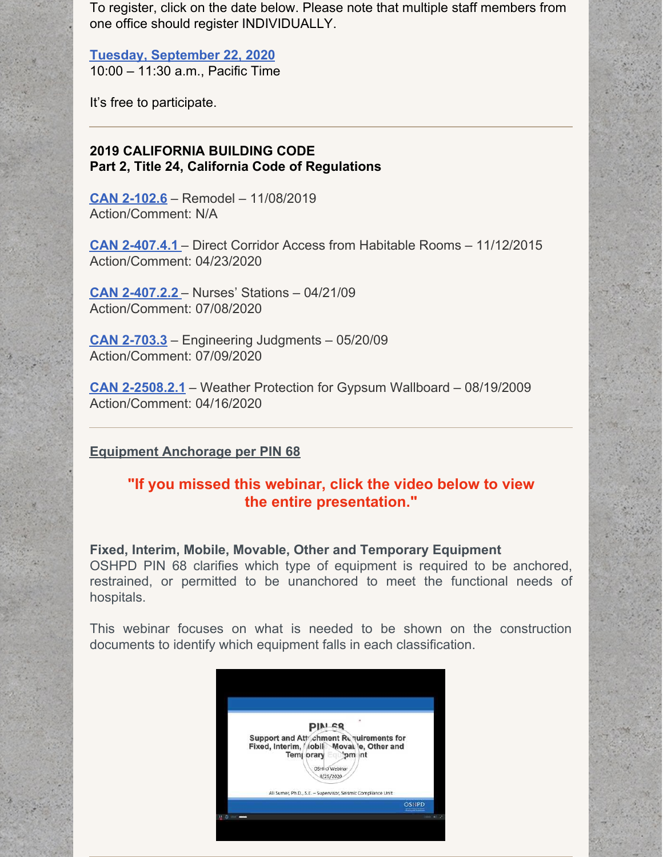To register, click on the date below. Please note that multiple staff members from one office should register INDIVIDUALLY.

**Tuesday, [September](https://register.gotowebinar.com/register/8991371094196938767) 22, 2020** 10:00 – 11:30 a.m., Pacific Time

It's free to participate.

### **2019 CALIFORNIA BUILDING CODE Part 2, Title 24, California Code of Regulations**

**CAN [2-102.6](https://oshpd.ca.gov/ml/v1/resources/document?rs:path=/Construction-And-Finance/Documents/Resources/Codes-and-Regulations/Code-Application-Notices-CANs/2019/CAN-2019-Building-Code-2-102.6-Remodel.pdf)** – Remodel – 11/08/2019 Action/Comment: N/A

**CAN [2-407.4.1](https://oshpd.ca.gov/ml/v1/resources/document?rs:path=/Construction-And-Finance/Documents/Resources/Codes-and-Regulations/Code-Application-Notices-CANs/2019/CAN-2-407.4.1_Direct-Corridor-Access-from-Habitable-Rooms_Rev-042320_ACC.pdf)** – Direct Corridor Access from Habitable Rooms – 11/12/2015 Action/Comment: 04/23/2020

**CAN [2-407.2.2](https://oshpd.ca.gov/ml/v1/resources/document?rs:path=/Construction-And-Finance/Documents/Resources/Codes-and-Regulations/Code-Application-Notices-CANs/2019/CAN2-407.2.2_Nurses-Stations_A.pdf)** – Nurses' Stations – 04/21/09 Action/Comment: 07/08/2020

**CAN [2-703.3](https://oshpd.ca.gov/ml/v1/resources/document?rs:path=/Construction-And-Finance/Documents/Resources/Codes-and-Regulations/Code-Application-Notices-CANs/2019/CAN2-703.3_Engineering-Judgments_A.pdf)** – Engineering Judgments – 05/20/09 Action/Comment: 07/09/2020

**CAN [2-2508.2.1](https://oshpd.ca.gov/ml/v1/resources/document?rs:path=/Construction-And-Finance/Documents/Resources/Codes-and-Regulations/Code-Application-Notices-CANs/2019/CAN-2-2508.2.1_Weather-Protection-for-GypsumWallboard_Rev041620_Final.pdf)** – Weather Protection for Gypsum Wallboard – 08/19/2009 Action/Comment: 04/16/2020

### **Equipment Anchorage per PIN 68**

### **"If you missed this webinar, click the video below to view the entire presentation."**

**Fixed, Interim, Mobile, Movable, Other and Temporary Equipment** OSHPD PIN 68 clarifies which type of equipment is required to be anchored, restrained, or permitted to be unanchored to meet the functional needs of hospitals.

This webinar focuses on what is needed to be shown on the construction documents to identify which equipment falls in each classification.